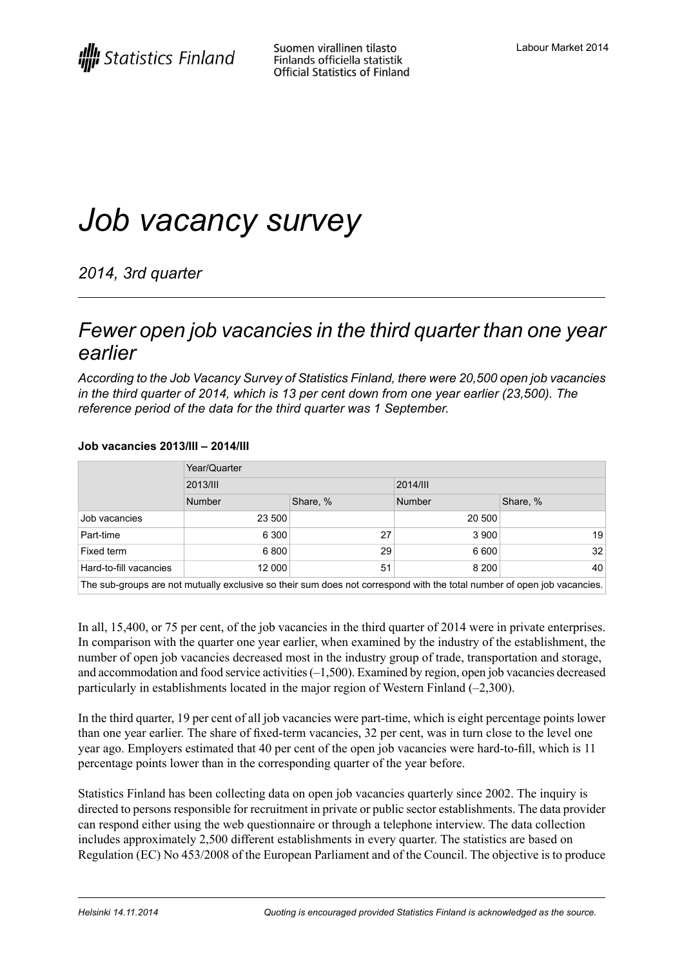# *Job vacancy survey*

*2014, 3rd quarter*

### *Fewer open job vacancies in the third quarter than one year earlier*

*According to the Job Vacancy Survey of Statistics Finland, there were 20,500 open job vacancies in the third quarter of 2014, which is 13 per cent down from one year earlier (23,500). The reference period of the data for the third quarter was 1 September.*

#### **Job vacancies 2013/III – 2014/III**

|                        | Year/Quarter                                                                                                             |          |               |          |  |
|------------------------|--------------------------------------------------------------------------------------------------------------------------|----------|---------------|----------|--|
|                        | 2013/III                                                                                                                 |          | 2014/III      |          |  |
|                        | Number                                                                                                                   | Share, % | <b>Number</b> | Share, % |  |
| Job vacancies          | 23 500                                                                                                                   |          | 20 500        |          |  |
| Part-time              | 6 300                                                                                                                    | 27       | 3 900         | 19       |  |
| Fixed term             | 6800                                                                                                                     | 29       | 6 600         | 32       |  |
| Hard-to-fill vacancies | 12 000                                                                                                                   | 51       | 8 2 0 0       | 40       |  |
|                        | The only resume are not mutually evoluting as their cum dege not correspond with the total number of caes, ich vacancies |          |               |          |  |

The sub-groups are not mutually exclusive so their sum does not correspond with the total number of open job vacancies.

In all, 15,400, or 75 per cent, of the job vacancies in the third quarter of 2014 were in private enterprises. In comparison with the quarter one year earlier, when examined by the industry of the establishment, the number of open job vacancies decreased most in the industry group of trade, transportation and storage, and accommodation and food service activities(–1,500). Examined by region, open job vacancies decreased particularly in establishments located in the major region of Western Finland (–2,300).

In the third quarter, 19 per cent of all job vacancies were part-time, which is eight percentage points lower than one year earlier. The share of fixed-term vacancies, 32 per cent, was in turn close to the level one year ago. Employers estimated that 40 per cent of the open job vacancies were hard-to-fill, which is 11 percentage points lower than in the corresponding quarter of the year before.

Statistics Finland has been collecting data on open job vacancies quarterly since 2002. The inquiry is directed to persons responsible for recruitment in private or public sector establishments. The data provider can respond either using the web questionnaire or through a telephone interview. The data collection includes approximately 2,500 different establishments in every quarter. The statistics are based on Regulation (EC) No 453/2008 of the European Parliament and of the Council. The objective is to produce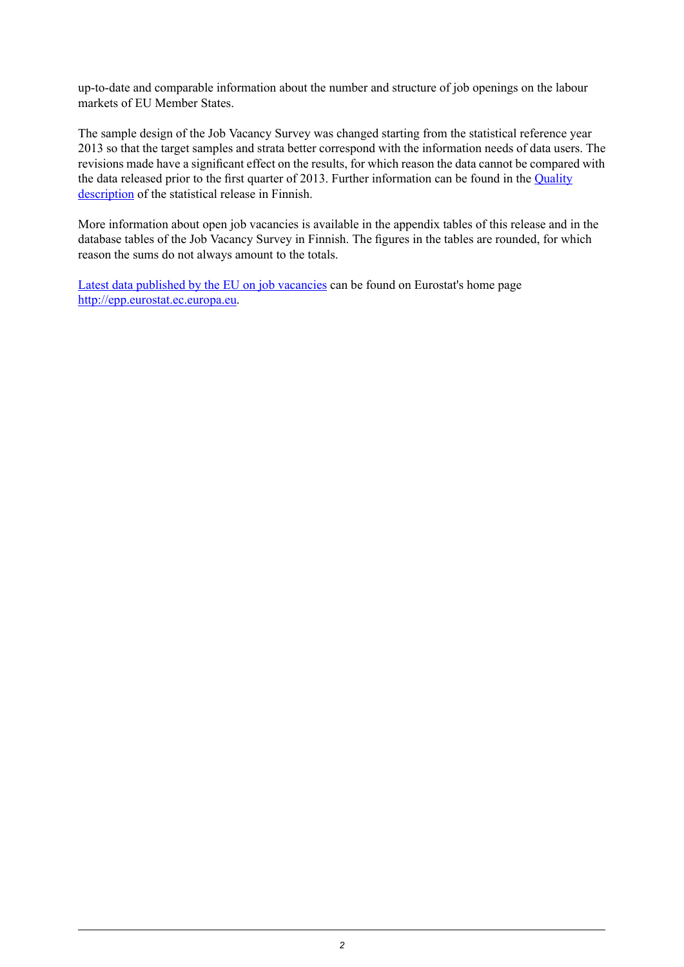up-to-date and comparable information about the number and structure of job openings on the labour markets of EU Member States.

The sample design of the Job Vacancy Survey was changed starting from the statistical reference year 2013 so that the target samples and strata better correspond with the information needs of data users. The revisions made have a significant effect on the results, for which reason the data cannot be compared with the data released prior to the first quarter of 2013. Further information can be found in the [Quality](http://www.stat.fi/til/atp/2014/03/atp_2014_03_2014-11-14_laa_001_fi.html) [description](http://www.stat.fi/til/atp/2014/03/atp_2014_03_2014-11-14_laa_001_fi.html) of the statistical release in Finnish.

More information about open job vacancies is available in the appendix tables of this release and in the database tables of the Job Vacancy Survey in Finnish. The figures in the tables are rounded, for which reason the sums do not always amount to the totals.

Latest data [published](http://epp.eurostat.ec.europa.eu/cache/ITY_PUBLIC/3-16092014-BP/EN/3-16092014-BP-EN.PDF) by the EU on job vacancies can be found on Eurostat's home page [http://epp.eurostat.ec.europa.eu.](http://epp.eurostat.ec.europa.eu/portal/page/portal/eurostat/home/)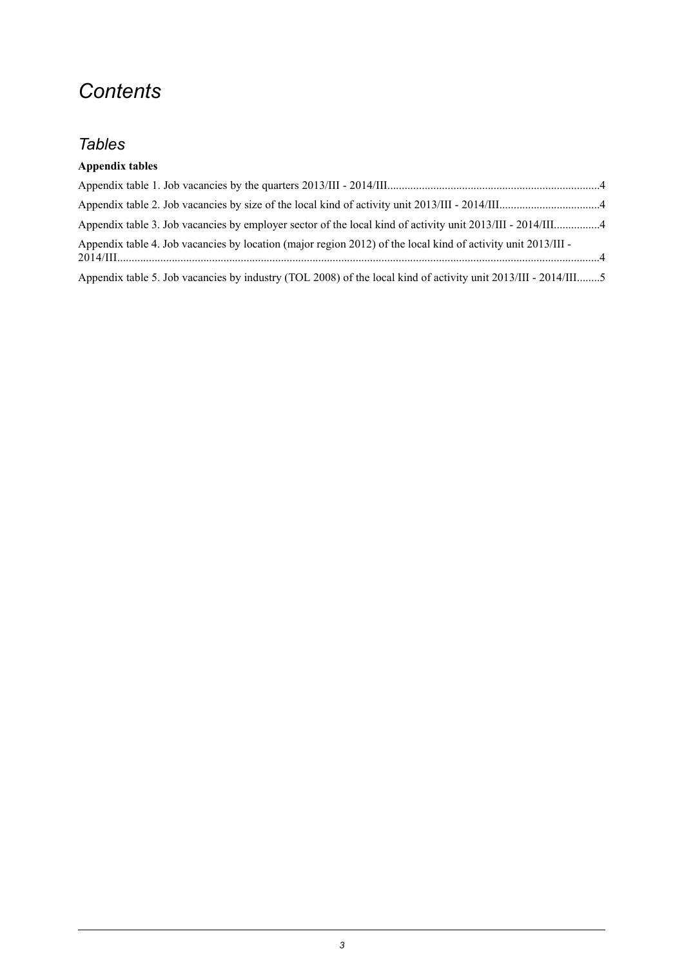## *Contents*

### *Tables*

#### **Appendix tables**

| Appendix table 4. Job vacancies by location (major region 2012) of the local kind of activity unit 2013/III -  |  |
|----------------------------------------------------------------------------------------------------------------|--|
| Appendix table 5. Job vacancies by industry (TOL 2008) of the local kind of activity unit 2013/III - 2014/III5 |  |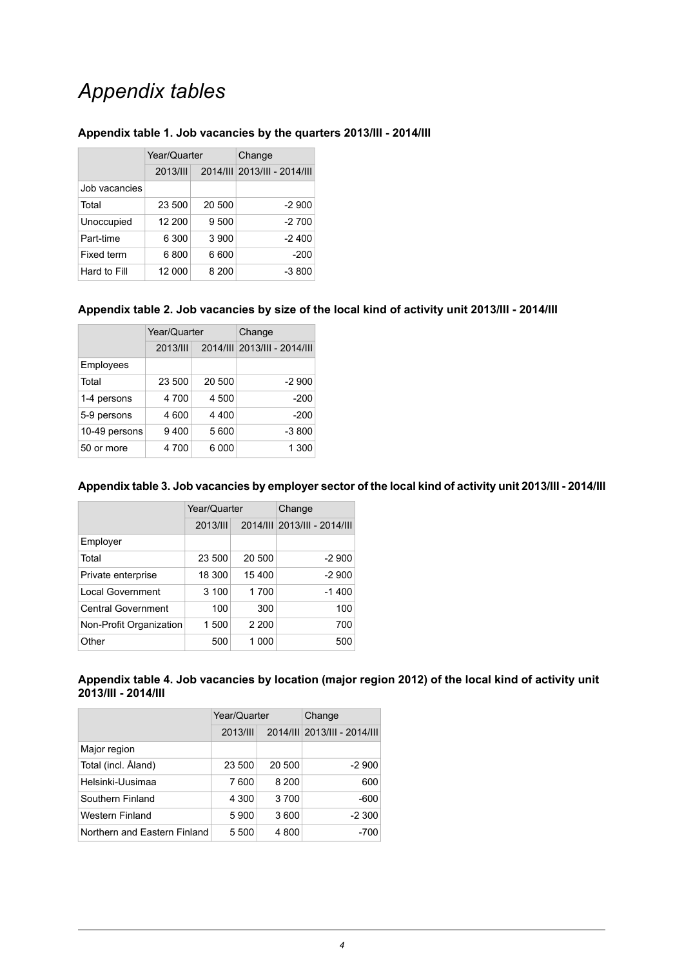## *Appendix tables*

|                   | Year/Quarter |        | Change                       |  |  |
|-------------------|--------------|--------|------------------------------|--|--|
|                   | 2013/III     |        | 2014/III 2013/III - 2014/III |  |  |
| Job vacancies     |              |        |                              |  |  |
| Total             | 23 500       | 20 500 | $-2900$                      |  |  |
| Unoccupied        | 12 200       | 9 500  | $-2700$                      |  |  |
| Part-time         | 6 300        | 3 900  | $-2400$                      |  |  |
| <b>Fixed term</b> | 6800         | 6600   | $-200$                       |  |  |
| Hard to Fill      | 12 000       | 8 200  | $-3800$                      |  |  |

#### <span id="page-3-0"></span>**Appendix table 1. Job vacancies by the quarters 2013/III - 2014/III**

#### <span id="page-3-1"></span>**Appendix table 2. Job vacancies by size of the local kind of activity unit 2013/III - 2014/III**

|               | Year/Quarter    |         | Change                       |  |
|---------------|-----------------|---------|------------------------------|--|
|               | <b>2013/III</b> |         | 2014/III 2013/III - 2014/III |  |
| Employees     |                 |         |                              |  |
| Total         | 23 500          | 20 500  | $-2900$                      |  |
| 1-4 persons   | 4 700           | 4 500   | $-200$                       |  |
| 5-9 persons   | 4 600           | 4 4 0 0 | $-200$                       |  |
| 10-49 persons | 9400            | 5600    | $-3800$                      |  |
| 50 or more    | 4 700           | 6000    | 1 300                        |  |

#### <span id="page-3-2"></span>**Appendixtable3.Job vacancies byemployersector of thelocalkind ofactivity unit2013/III -2014/III**

|                           | Year/Quarter |         | Change                       |  |
|---------------------------|--------------|---------|------------------------------|--|
|                           | 2013/III     |         | 2014/III 2013/III - 2014/III |  |
| Employer                  |              |         |                              |  |
| Total                     | 23 500       | 20 500  | $-2900$                      |  |
| Private enterprise        | 18 300       | 15 400  | $-2900$                      |  |
| <b>Local Government</b>   | 3 100        | 1700    | $-1400$                      |  |
| <b>Central Government</b> | 100          | 300     | 100                          |  |
| Non-Profit Organization   | 1500         | 2 2 0 0 | 700                          |  |
| Other                     | 500          | 1 000   | 500                          |  |

#### <span id="page-3-3"></span>**Appendix table 4. Job vacancies by location (major region 2012) of the local kind of activity unit 2013/III - 2014/III**

|                              | Year/Quarter |         | Change                       |  |
|------------------------------|--------------|---------|------------------------------|--|
|                              | 2013/III     |         | 2014/III 2013/III - 2014/III |  |
| Major region                 |              |         |                              |  |
| Total (incl. Åland)          | 23 500       | 20 500  | $-2900$                      |  |
| Helsinki-Uusimaa             | 7600         | 8 2 0 0 | 600                          |  |
| Southern Finland             | 4 300        | 3700    | $-600$                       |  |
| Western Finland              | 5900         | 3600    | $-2300$                      |  |
| Northern and Eastern Finland | 5 500        | 4800    | -700                         |  |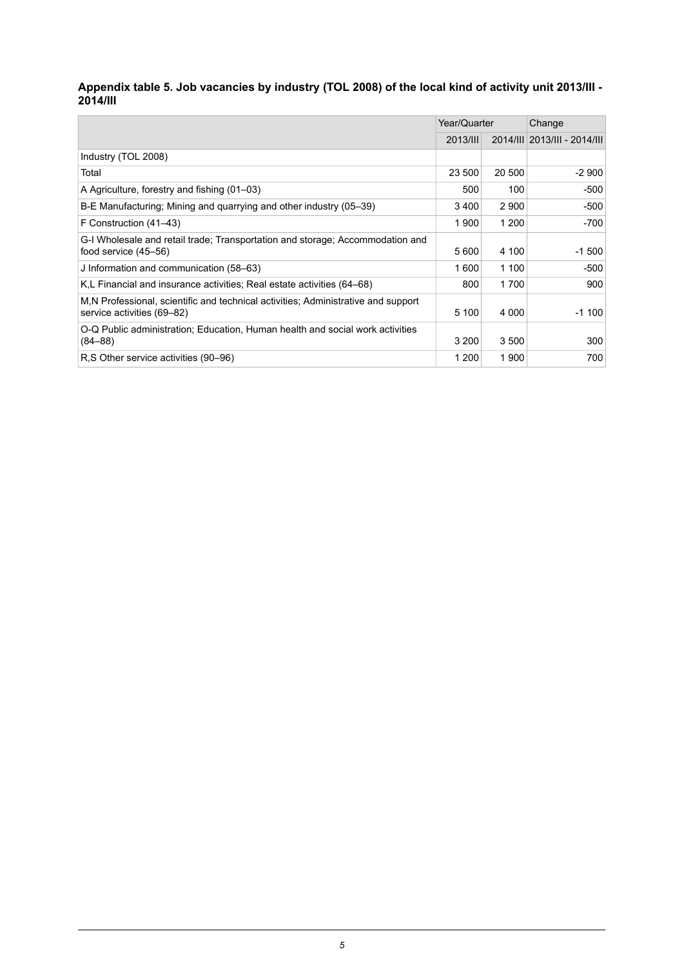#### <span id="page-4-0"></span>- Appendix table 5. Job vacancies by industry (TOL 2008) of the local kind of activity unit 2013/III **2014/III**

|                                                                                                                 | Year/Quarter |         | Change                       |
|-----------------------------------------------------------------------------------------------------------------|--------------|---------|------------------------------|
|                                                                                                                 | 2013/III     |         | 2014/III 2013/III - 2014/III |
| Industry (TOL 2008)                                                                                             |              |         |                              |
| Total                                                                                                           | 23 500       | 20 500  | -2 900                       |
| A Agriculture, forestry and fishing (01–03)                                                                     | 500          | 100     | -500                         |
| B-E Manufacturing; Mining and quarrying and other industry (05–39)                                              | 3400         | 2 9 0 0 | -500                         |
| F Construction (41–43)                                                                                          | 1900         | 1 200   | -700                         |
| G-I Wholesale and retail trade: Transportation and storage: Accommodation and<br>food service $(45-56)$         | 5 600        | 4 100   | $-1500$                      |
| J Information and communication (58–63)                                                                         | 1600         | 1 100   | -500                         |
| K,L Financial and insurance activities; Real estate activities (64–68)                                          | 800          | 1700    | 900                          |
| M.N Professional, scientific and technical activities; Administrative and support<br>service activities (69–82) | 5 100        | 4 0 0 0 | $-1100$                      |
| O-Q Public administration; Education, Human health and social work activities<br>$(84 - 88)$                    | 3 200        | 3 500   | 300                          |
| R.S Other service activities (90–96)                                                                            | 1 200        | 1 900   | 700                          |